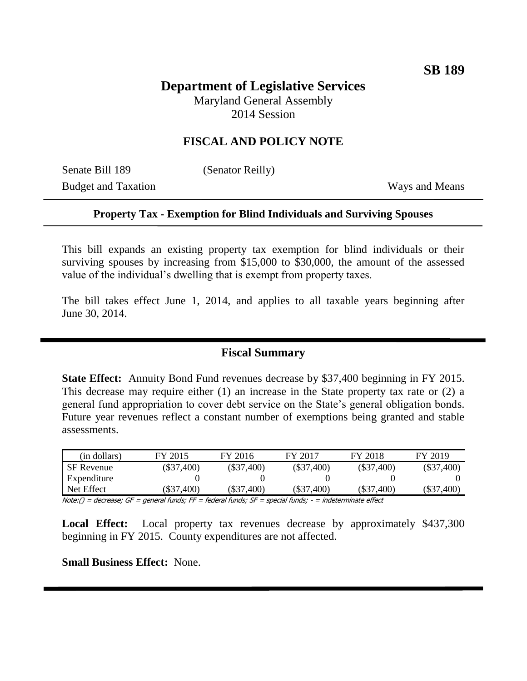# **Department of Legislative Services** Maryland General Assembly

2014 Session

## **FISCAL AND POLICY NOTE**

Senate Bill 189 (Senator Reilly) Budget and Taxation Ways and Means

#### **Property Tax - Exemption for Blind Individuals and Surviving Spouses**

This bill expands an existing property tax exemption for blind individuals or their surviving spouses by increasing from \$15,000 to \$30,000, the amount of the assessed value of the individual's dwelling that is exempt from property taxes.

The bill takes effect June 1, 2014, and applies to all taxable years beginning after June 30, 2014.

#### **Fiscal Summary**

**State Effect:** Annuity Bond Fund revenues decrease by \$37,400 beginning in FY 2015. This decrease may require either (1) an increase in the State property tax rate or (2) a general fund appropriation to cover debt service on the State's general obligation bonds. Future year revenues reflect a constant number of exemptions being granted and stable assessments.

| (in dollars)      | FY 2015                | FY 2016      | FY 2017      | FY 2018      | FY 2019      |
|-------------------|------------------------|--------------|--------------|--------------|--------------|
| <b>SF</b> Revenue | $(\$37,400)$           | $(\$37,400)$ | $(\$37,400)$ | $(\$37,400)$ | $(\$37,400)$ |
| Expenditure       |                        |              |              |              |              |
| Net Effect        | (\$37,400)             | $(\$37,400)$ | (\$37,400)   | $(\$37,400)$ | $(\$37,400)$ |
| .<br>$ -$         | $\sim$ $\sim$<br>$- -$ | $ -$         |              | ---          |              |

Note:() = decrease; GF = general funds; FF = federal funds; SF = special funds; - = indeterminate effect

**Local Effect:** Local property tax revenues decrease by approximately \$437,300 beginning in FY 2015. County expenditures are not affected.

**Small Business Effect:** None.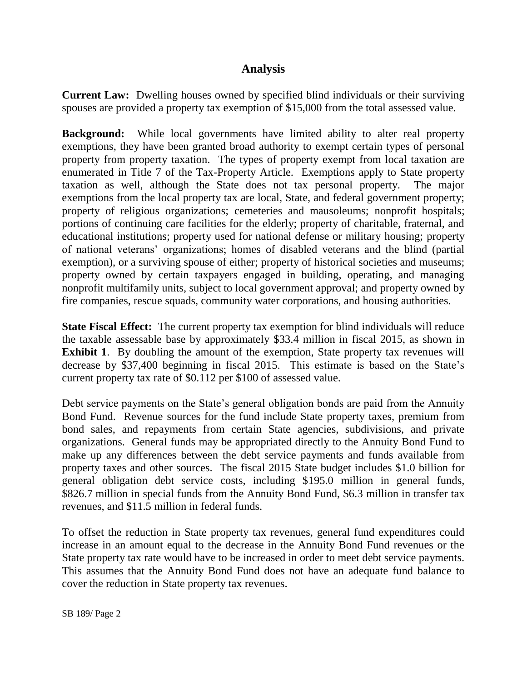### **Analysis**

**Current Law:** Dwelling houses owned by specified blind individuals or their surviving spouses are provided a property tax exemption of \$15,000 from the total assessed value.

**Background:** While local governments have limited ability to alter real property exemptions, they have been granted broad authority to exempt certain types of personal property from property taxation. The types of property exempt from local taxation are enumerated in Title 7 of the Tax-Property Article. Exemptions apply to State property taxation as well, although the State does not tax personal property. The major exemptions from the local property tax are local, State, and federal government property; property of religious organizations; cemeteries and mausoleums; nonprofit hospitals; portions of continuing care facilities for the elderly; property of charitable, fraternal, and educational institutions; property used for national defense or military housing; property of national veterans' organizations; homes of disabled veterans and the blind (partial exemption), or a surviving spouse of either; property of historical societies and museums; property owned by certain taxpayers engaged in building, operating, and managing nonprofit multifamily units, subject to local government approval; and property owned by fire companies, rescue squads, community water corporations, and housing authorities.

**State Fiscal Effect:** The current property tax exemption for blind individuals will reduce the taxable assessable base by approximately \$33.4 million in fiscal 2015, as shown in **Exhibit 1.** By doubling the amount of the exemption, State property tax revenues will decrease by \$37,400 beginning in fiscal 2015. This estimate is based on the State's current property tax rate of \$0.112 per \$100 of assessed value.

Debt service payments on the State's general obligation bonds are paid from the Annuity Bond Fund. Revenue sources for the fund include State property taxes, premium from bond sales, and repayments from certain State agencies, subdivisions, and private organizations. General funds may be appropriated directly to the Annuity Bond Fund to make up any differences between the debt service payments and funds available from property taxes and other sources. The fiscal 2015 State budget includes \$1.0 billion for general obligation debt service costs, including \$195.0 million in general funds, \$826.7 million in special funds from the Annuity Bond Fund, \$6.3 million in transfer tax revenues, and \$11.5 million in federal funds.

To offset the reduction in State property tax revenues, general fund expenditures could increase in an amount equal to the decrease in the Annuity Bond Fund revenues or the State property tax rate would have to be increased in order to meet debt service payments. This assumes that the Annuity Bond Fund does not have an adequate fund balance to cover the reduction in State property tax revenues.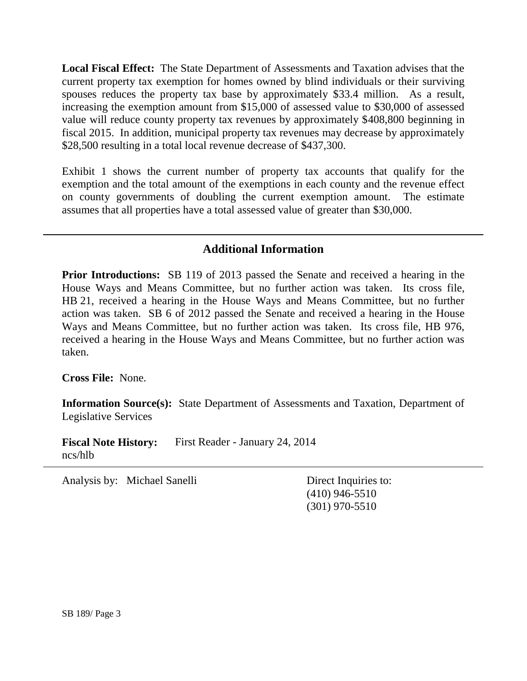**Local Fiscal Effect:** The State Department of Assessments and Taxation advises that the current property tax exemption for homes owned by blind individuals or their surviving spouses reduces the property tax base by approximately \$33.4 million. As a result, increasing the exemption amount from \$15,000 of assessed value to \$30,000 of assessed value will reduce county property tax revenues by approximately \$408,800 beginning in fiscal 2015. In addition, municipal property tax revenues may decrease by approximately \$28,500 resulting in a total local revenue decrease of \$437,300.

Exhibit 1 shows the current number of property tax accounts that qualify for the exemption and the total amount of the exemptions in each county and the revenue effect on county governments of doubling the current exemption amount. The estimate assumes that all properties have a total assessed value of greater than \$30,000.

## **Additional Information**

**Prior Introductions:** SB 119 of 2013 passed the Senate and received a hearing in the House Ways and Means Committee, but no further action was taken. Its cross file, HB 21, received a hearing in the House Ways and Means Committee, but no further action was taken. SB 6 of 2012 passed the Senate and received a hearing in the House Ways and Means Committee, but no further action was taken. Its cross file, HB 976, received a hearing in the House Ways and Means Committee, but no further action was taken.

**Cross File:** None.

**Information Source(s):** State Department of Assessments and Taxation, Department of Legislative Services

**Fiscal Note History:** First Reader - January 24, 2014 ncs/hlb

Analysis by: Michael Sanelli Direct Inquiries to:

(410) 946-5510 (301) 970-5510